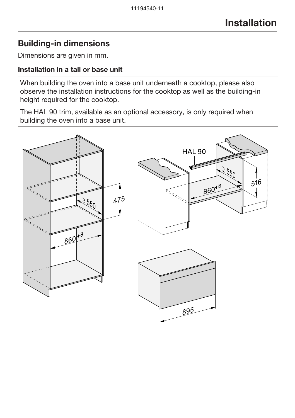# Building-in dimensions

Dimensions are given in mm.

#### Installation in a tall or base unit

When building the oven into a base unit underneath a cooktop, please also observe the installation instructions for the cooktop as well as the building-in height required for the cooktop.

The HAL 90 trim, available as an optional accessory, is only required when building the oven into a base unit.

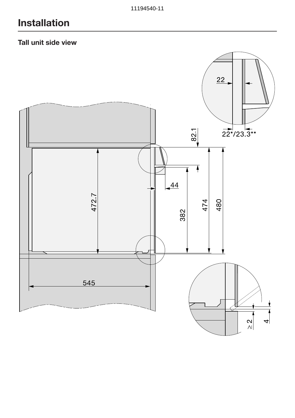## Tall unit side view

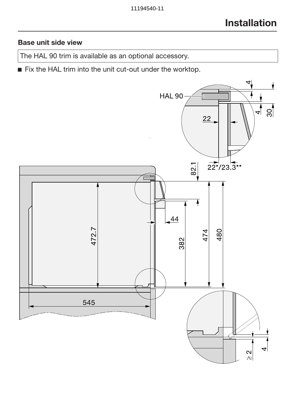### Base unit side view

The HAL 90 trim is available as an optional accessory.

Fix the HAL trim into the unit cut-out under the worktop.

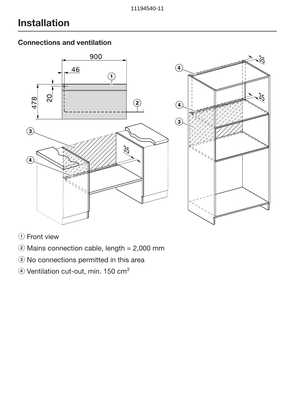## Connections and ventilation



- **1** Front view
- $\ddot{ }$  Mains connection cable, length = 2,000 mm
- <sup>3</sup> No connections permitted in this area
- 4) Ventilation cut-out, min. 150 cm<sup>2</sup>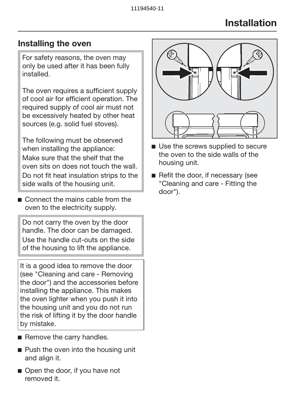## Installing the oven

For safety reasons, the oven may only be used after it has been fully installed.

The oven requires a sufficient supply of cool air for efficient operation. The required supply of cool air must not be excessively heated by other heat sources (e.g. solid fuel stoves).

The following must be observed when installing the appliance: Make sure that the shelf that the oven sits on does not touch the wall. Do not fit heat insulation strips to the side walls of the housing unit.

Connect the mains cable from the oven to the electricity supply.

Do not carry the oven by the door handle. The door can be damaged. Use the handle cut-outs on the side of the housing to lift the appliance.

It is a good idea to remove the door (see "Cleaning and care - Removing the door") and the accessories before installing the appliance. This makes the oven lighter when you push it into the housing unit and you do not run the risk of lifting it by the door handle by mistake.

- Remove the carry handles.
- **Push the oven into the housing unit** and align it.
- Open the door, if you have not removed it.



- Use the screws supplied to secure the oven to the side walls of the housing unit.
- Refit the door, if necessary (see "Cleaning and care - Fitting the door").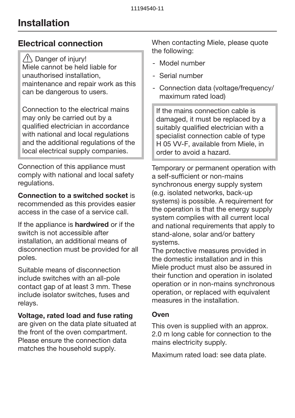## Electrical connection

 $\bigwedge$  Danger of injury! Miele cannot be held liable for unauthorised installation, maintenance and repair work as this can be dangerous to users.

Connection to the electrical mains may only be carried out by a qualified electrician in accordance with national and local regulations and the additional regulations of the local electrical supply companies.

Connection of this appliance must comply with national and local safety regulations.

Connection to a switched socket is recommended as this provides easier access in the case of a service call.

If the appliance is **hardwired** or if the switch is not accessible after installation, an additional means of disconnection must be provided for all poles.

Suitable means of disconnection include switches with an all-pole contact gap of at least 3 mm. These include isolator switches, fuses and relays.

#### Voltage, rated load and fuse rating

are given on the data plate situated at the front of the oven compartment. Please ensure the connection data matches the household supply.

When contacting Miele, please quote the following:

- Model number
- Serial number
- Connection data (voltage/frequency/ maximum rated load)

If the mains connection cable is damaged, it must be replaced by a suitably qualified electrician with a specialist connection cable of type H 05 VV-F, available from Miele, in order to avoid a hazard.

Temporary or permanent operation with a self-sufficient or non-mains synchronous energy supply system (e.g. isolated networks, back-up systems) is possible. A requirement for the operation is that the energy supply system complies with all current local and national requirements that apply to stand-alone, solar and/or battery systems.

The protective measures provided in the domestic installation and in this Miele product must also be assured in their function and operation in isolated operation or in non-mains synchronous operation, or replaced with equivalent measures in the installation.

#### **Oven**

This oven is supplied with an approx. 2.0 m long cable for connection to the mains electricity supply.

Maximum rated load: see data plate.